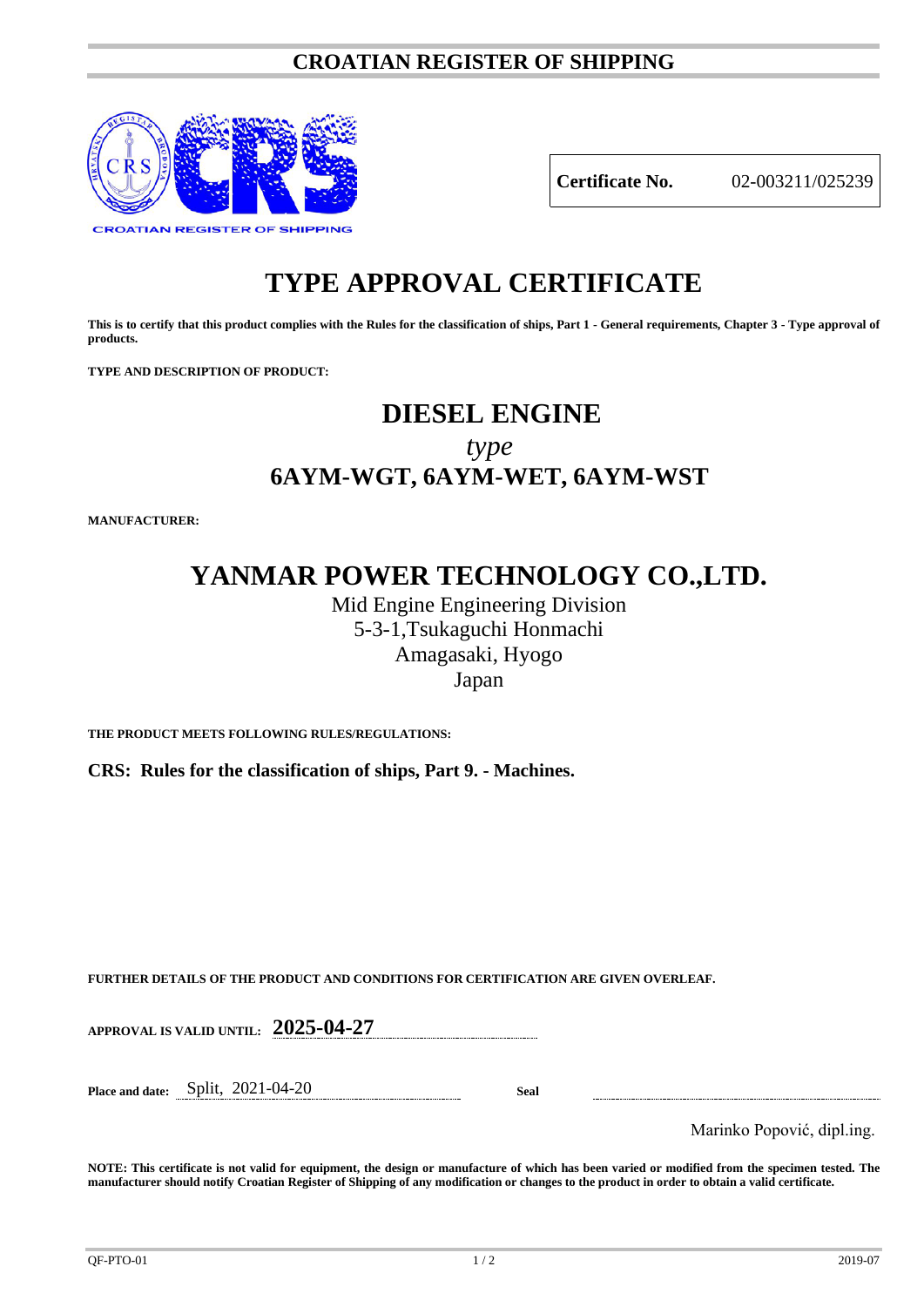### **CROATIAN REGISTER OF SHIPPING**



**Certificate No.** 02-003211/025239

# **TYPE APPROVAL CERTIFICATE**

**This is to certify that this product complies with the Rules for the classification of ships, Part 1 - General requirements, Chapter 3 - Type approval of products.**

**TYPE AND DESCRIPTION OF PRODUCT:** 

## **DIESEL ENGINE**

*type* **6AYM-WGT, 6AYM-WET, 6AYM-WST**

**MANUFACTURER:**

### **YANMAR POWER TECHNOLOGY CO.,LTD.**

Mid Engine Engineering Division 5-3-1,Tsukaguchi Honmachi Amagasaki, Hyogo Japan

**THE PRODUCT MEETS FOLLOWING RULES/REGULATIONS:**

**CRS: Rules for the classification of ships, Part 9. - Machines.**

**FURTHER DETAILS OF THE PRODUCT AND CONDITIONS FOR CERTIFICATION ARE GIVEN OVERLEAF.**

**APPROVAL IS VALID UNTIL: 2025-04-27**

**Place and date:** Split, 2021-04-20 **Seal**

Marinko Popović, dipl.ing.

**NOTE: This certificate is not valid for equipment, the design or manufacture of which has been varied or modified from the specimen tested. The manufacturer should notify Croatian Register of Shipping of any modification or changes to the product in order to obtain a valid certificate.**